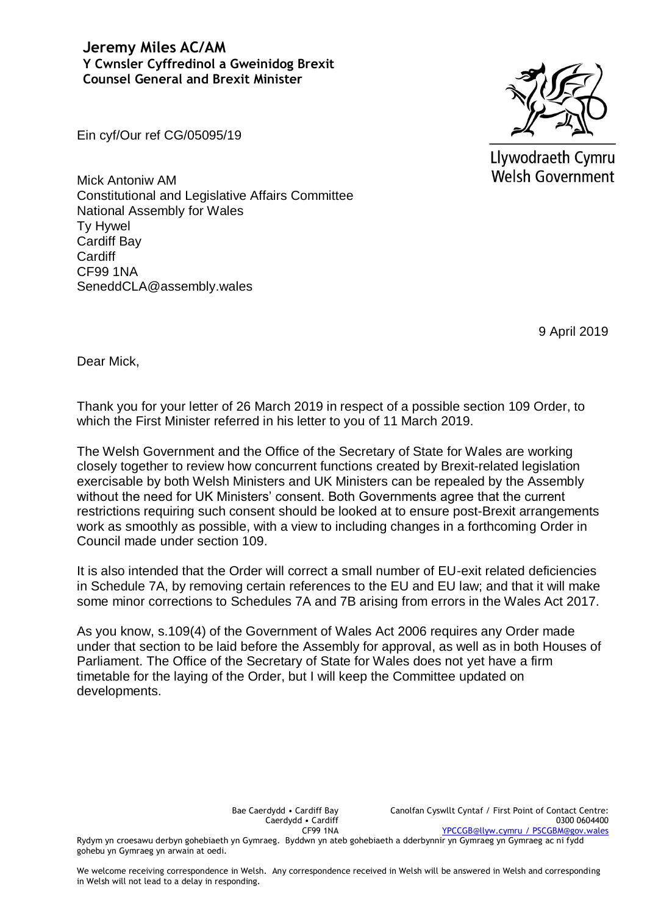**Jeremy Miles AC/AM Y Cwnsler Cyffredinol a Gweinidog Brexit Counsel General and Brexit Minister** 



Llywodraeth Cymru **Welsh Government** 

Ein cyf/Our ref CG/05095/19

Mick Antoniw AM Constitutional and Legislative Affairs Committee National Assembly for Wales Ty Hywel Cardiff Bay **Cardiff** CF99 1NA SeneddCLA@assembly.wales

9 April 2019

Dear Mick,

Thank you for your letter of 26 March 2019 in respect of a possible section 109 Order, to which the First Minister referred in his letter to you of 11 March 2019.

The Welsh Government and the Office of the Secretary of State for Wales are working closely together to review how concurrent functions created by Brexit-related legislation exercisable by both Welsh Ministers and UK Ministers can be repealed by the Assembly without the need for UK Ministers' consent. Both Governments agree that the current restrictions requiring such consent should be looked at to ensure post-Brexit arrangements work as smoothly as possible, with a view to including changes in a forthcoming Order in Council made under section 109.

It is also intended that the Order will correct a small number of EU-exit related deficiencies in Schedule 7A, by removing certain references to the EU and EU law; and that it will make some minor corrections to Schedules 7A and 7B arising from errors in the Wales Act 2017.

As you know, s.109(4) of the Government of Wales Act 2006 requires any Order made under that section to be laid before the Assembly for approval, as well as in both Houses of Parliament. The Office of the Secretary of State for Wales does not yet have a firm timetable for the laying of the Order, but I will keep the Committee updated on developments.

> Bae Caerdydd • Cardiff Bay Caerdydd • Cardiff CF99 1NA

Rydym yn croesawu derbyn gohebiaeth yn Gymraeg. Byddwn yn ateb gohebiaeth a dderbynnir yn Gymraeg yn Gymraeg ac ni fydd gohebu yn Gymraeg yn arwain at oedi.